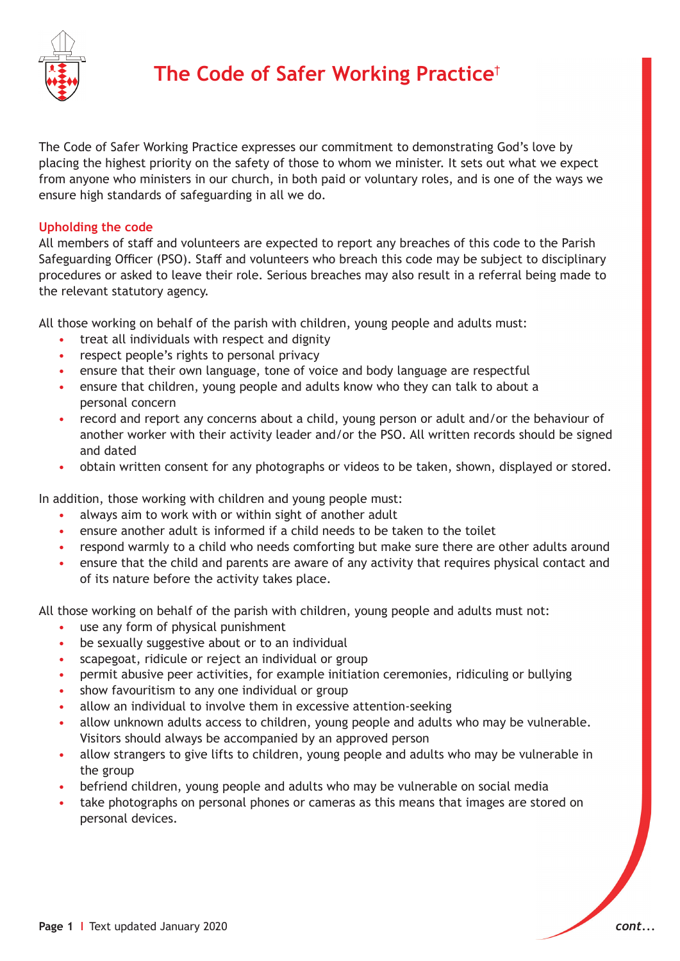

The Code of Safer Working Practice expresses our commitment to demonstrating God's love by placing the highest priority on the safety of those to whom we minister. It sets out what we expect from anyone who ministers in our church, in both paid or voluntary roles, and is one of the ways we ensure high standards of safeguarding in all we do.

## **Upholding the code**

All members of staff and volunteers are expected to report any breaches of this code to the Parish Safeguarding Officer (PSO). Staff and volunteers who breach this code may be subject to disciplinary procedures or asked to leave their role. Serious breaches may also result in a referral being made to the relevant statutory agency.

All those working on behalf of the parish with children, young people and adults must:

- treat all individuals with respect and dignity
- respect people's rights to personal privacy
- ensure that their own language, tone of voice and body language are respectful
- ensure that children, young people and adults know who they can talk to about a personal concern
- record and report any concerns about a child, young person or adult and/or the behaviour of another worker with their activity leader and/or the PSO. All written records should be signed and dated
- obtain written consent for any photographs or videos to be taken, shown, displayed or stored.

In addition, those working with children and young people must:

- always aim to work with or within sight of another adult
- ensure another adult is informed if a child needs to be taken to the toilet
- respond warmly to a child who needs comforting but make sure there are other adults around
- ensure that the child and parents are aware of any activity that requires physical contact and of its nature before the activity takes place.

All those working on behalf of the parish with children, young people and adults must not:

- use any form of physical punishment
- be sexually suggestive about or to an individual
- scapegoat, ridicule or reject an individual or group
- permit abusive peer activities, for example initiation ceremonies, ridiculing or bullying
- show favouritism to any one individual or group
- allow an individual to involve them in excessive attention-seeking
- allow unknown adults access to children, young people and adults who may be vulnerable. Visitors should always be accompanied by an approved person
- allow strangers to give lifts to children, young people and adults who may be vulnerable in the group
- befriend children, young people and adults who may be vulnerable on social media
- take photographs on personal phones or cameras as this means that images are stored on personal devices.